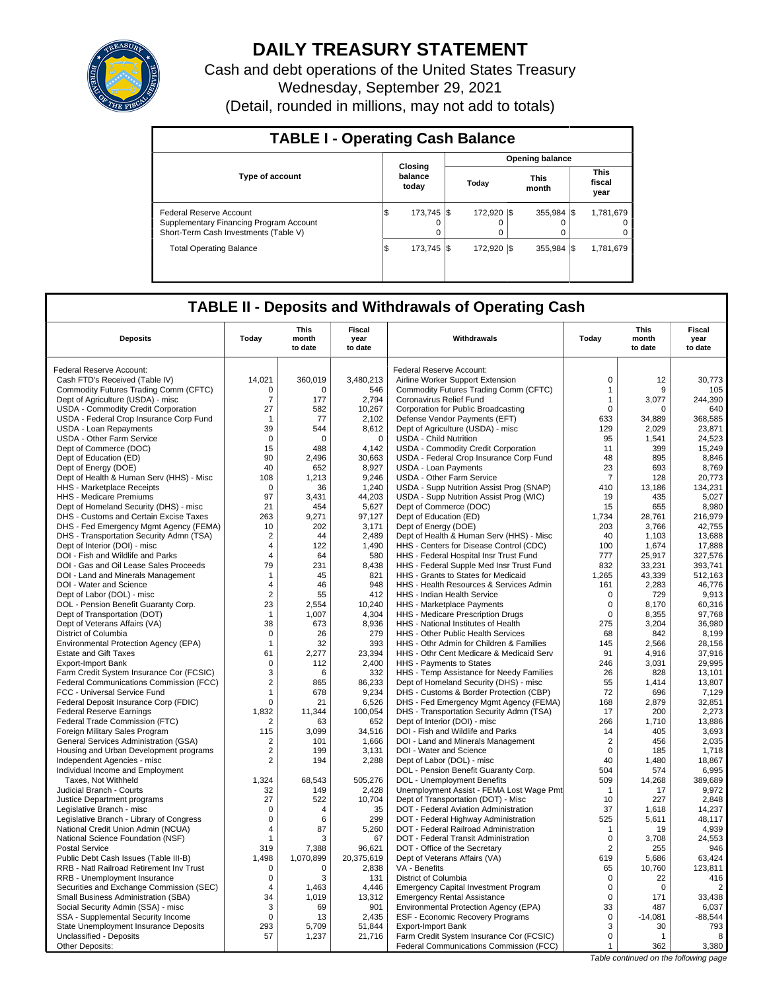

# **DAILY TREASURY STATEMENT**

Cash and debt operations of the United States Treasury Wednesday, September 29, 2021 (Detail, rounded in millions, may not add to totals)

| <b>TABLE I - Operating Cash Balance</b>                                                                     |    |                             |  |                       |  | <b>Opening balance</b>  |                               |
|-------------------------------------------------------------------------------------------------------------|----|-----------------------------|--|-----------------------|--|-------------------------|-------------------------------|
| <b>Type of account</b>                                                                                      |    | Closing<br>balance<br>today |  | Today                 |  | <b>This</b><br>month    | <b>This</b><br>fiscal<br>year |
| Federal Reserve Account<br>Supplementary Financing Program Account<br>Short-Term Cash Investments (Table V) | ß. | 173.745   \$<br>0           |  | 172.920 \\$<br>0<br>0 |  | $355.984$ \\$<br>0<br>0 | 1.781.679<br>0                |
| <b>Total Operating Balance</b>                                                                              | ıэ | 173.745   \$                |  | 172.920 \\            |  | 355.984 \\$             | 1,781,679                     |

# **TABLE II - Deposits and Withdrawals of Operating Cash**

| <b>Deposits</b>                                                                | Today             | This<br>month<br>to date | <b>Fiscal</b><br>year<br>to date | Withdrawals                                                                   | Today             | <b>This</b><br>month<br>to date | <b>Fiscal</b><br>year<br>to date |
|--------------------------------------------------------------------------------|-------------------|--------------------------|----------------------------------|-------------------------------------------------------------------------------|-------------------|---------------------------------|----------------------------------|
| Federal Reserve Account:                                                       |                   |                          |                                  | Federal Reserve Account:                                                      |                   |                                 |                                  |
| Cash FTD's Received (Table IV)                                                 | 14,021            | 360,019                  |                                  |                                                                               | $\mathbf 0$       | 12                              | 30,773                           |
|                                                                                | 0                 | $\Omega$                 | 3,480,213                        | Airline Worker Support Extension                                              | $\mathbf{1}$      | 9                               |                                  |
| Commodity Futures Trading Comm (CFTC)<br>Dept of Agriculture (USDA) - misc     | $\overline{7}$    | 177                      | 546<br>2,794                     | Commodity Futures Trading Comm (CFTC)<br>Coronavirus Relief Fund              | $\mathbf{1}$      | 3,077                           | 105<br>244,390                   |
| USDA - Commodity Credit Corporation                                            | 27                | 582                      | 10,267                           | Corporation for Public Broadcasting                                           | $\mathbf 0$       | 0                               | 640                              |
| USDA - Federal Crop Insurance Corp Fund                                        | -1                | 77                       | 2,102                            | Defense Vendor Payments (EFT)                                                 | 633               | 34,889                          | 368,585                          |
| <b>USDA - Loan Repayments</b>                                                  | 39                | 544                      | 8.612                            | Dept of Agriculture (USDA) - misc                                             | 129               | 2.029                           | 23,871                           |
| <b>USDA - Other Farm Service</b>                                               | $\mathsf 0$       | $\mathbf 0$              | $\mathbf 0$                      | <b>USDA - Child Nutrition</b>                                                 | 95                | 1,541                           | 24,523                           |
| Dept of Commerce (DOC)                                                         | 15                | 488                      | 4,142                            | USDA - Commodity Credit Corporation                                           | 11                | 399                             | 15,249                           |
| Dept of Education (ED)                                                         | 90                | 2,496                    | 30,663                           | USDA - Federal Crop Insurance Corp Fund                                       | 48                | 895                             | 8,846                            |
| Dept of Energy (DOE)                                                           | 40                | 652                      | 8,927                            | <b>USDA - Loan Payments</b>                                                   | 23                | 693                             | 8,769                            |
| Dept of Health & Human Serv (HHS) - Misc                                       | 108               | 1,213                    | 9,246                            | <b>USDA - Other Farm Service</b>                                              | $\overline{7}$    | 128                             | 20,773                           |
| HHS - Marketplace Receipts                                                     | $\mathbf 0$       | 36                       | 1,240                            | USDA - Supp Nutrition Assist Prog (SNAP)                                      | 410               | 13,186                          | 134,231                          |
| HHS - Medicare Premiums                                                        | 97                | 3,431                    | 44,203                           | USDA - Supp Nutrition Assist Prog (WIC)                                       | 19                | 435                             | 5,027                            |
| Dept of Homeland Security (DHS) - misc                                         | 21                | 454                      | 5,627                            | Dept of Commerce (DOC)                                                        | 15                | 655                             | 8,980                            |
| DHS - Customs and Certain Excise Taxes                                         | 263               | 9,271                    | 97,127                           | Dept of Education (ED)                                                        | 1,734             | 28,761                          | 216,979                          |
| DHS - Fed Emergency Mgmt Agency (FEMA)                                         | 10                | 202                      | 3,171                            | Dept of Energy (DOE)                                                          | 203               | 3,766                           | 42,755                           |
| DHS - Transportation Security Admn (TSA)                                       | $\overline{2}$    | 44                       | 2,489                            | Dept of Health & Human Serv (HHS) - Misc                                      | 40                | 1,103                           | 13,688                           |
| Dept of Interior (DOI) - misc                                                  | $\overline{4}$    | 122                      | 1.490                            | HHS - Centers for Disease Control (CDC)                                       | 100               | 1.674                           | 17.888                           |
| DOI - Fish and Wildlife and Parks                                              | $\overline{4}$    | 64                       | 580                              | HHS - Federal Hospital Insr Trust Fund                                        | 777               | 25,917                          | 327,576                          |
| DOI - Gas and Oil Lease Sales Proceeds                                         | 79                | 231                      | 8.438                            | HHS - Federal Supple Med Insr Trust Fund                                      | 832               | 33,231                          | 393,741                          |
| DOI - Land and Minerals Management                                             | $\mathbf 1$       | 45                       | 821                              | HHS - Grants to States for Medicaid                                           | 1,265             | 43.339                          | 512.163                          |
| DOI - Water and Science                                                        | $\overline{4}$    | 46                       | 948                              | HHS - Health Resources & Services Admin                                       | 161               | 2,283                           | 46,776                           |
| Dept of Labor (DOL) - misc                                                     | $\overline{2}$    | 55                       | 412                              | HHS - Indian Health Service                                                   | $\mathbf 0$       | 729                             | 9.913                            |
| DOL - Pension Benefit Guaranty Corp.                                           | 23                | 2,554                    | 10,240                           | HHS - Marketplace Payments                                                    | $\mathsf 0$       | 8,170                           | 60,316                           |
| Dept of Transportation (DOT)                                                   | $\mathbf{1}$      | 1.007                    | 4,304                            | HHS - Medicare Prescription Drugs                                             | 0                 | 8.355                           | 97.768                           |
| Dept of Veterans Affairs (VA)                                                  | 38                | 673                      | 8,936                            | HHS - National Institutes of Health                                           | 275               | 3,204                           | 36,980                           |
| District of Columbia                                                           | 0                 | 26                       | 279                              | <b>HHS - Other Public Health Services</b>                                     | 68                | 842                             | 8,199                            |
| Environmental Protection Agency (EPA)                                          | $\mathbf{1}$      | 32                       | 393                              | HHS - Othr Admin for Children & Families                                      | 145               | 2,566                           | 28,156                           |
| <b>Estate and Gift Taxes</b>                                                   | 61                | 2,277                    | 23,394                           | HHS - Othr Cent Medicare & Medicaid Serv                                      | 91                | 4,916                           | 37,916                           |
| <b>Export-Import Bank</b>                                                      | $\mathbf 0$       | 112                      | 2,400                            | HHS - Payments to States                                                      | 246               | 3,031                           | 29,995                           |
| Farm Credit System Insurance Cor (FCSIC)                                       | 3                 | 6                        | 332                              | HHS - Temp Assistance for Needy Families                                      | 26                | 828                             | 13,101                           |
| Federal Communications Commission (FCC)                                        | $\overline{2}$    | 865                      | 86,233                           | Dept of Homeland Security (DHS) - misc                                        | 55                | 1,414                           | 13,807                           |
| FCC - Universal Service Fund                                                   | $\mathbf{1}$      | 678                      | 9.234                            | DHS - Customs & Border Protection (CBP)                                       | 72                | 696                             | 7,129                            |
| Federal Deposit Insurance Corp (FDIC)                                          | $\mathbf 0$       | 21                       | 6,526                            | DHS - Fed Emergency Mgmt Agency (FEMA)                                        | 168               | 2,879                           | 32,851                           |
| <b>Federal Reserve Earnings</b>                                                | 1,832             | 11,344                   | 100,054                          | DHS - Transportation Security Admn (TSA)                                      | 17                | 200                             | 2,273                            |
| Federal Trade Commission (FTC)                                                 | $\overline{2}$    | 63                       | 652                              | Dept of Interior (DOI) - misc                                                 | 266               | 1,710                           | 13,886                           |
| Foreign Military Sales Program                                                 | 115               | 3.099                    | 34.516                           | DOI - Fish and Wildlife and Parks                                             | 14                | 405                             | 3,693                            |
| General Services Administration (GSA)                                          | $\overline{2}$    | 101                      | 1,666                            | DOI - Land and Minerals Management                                            | $\overline{2}$    | 456                             | 2,035                            |
| Housing and Urban Development programs                                         | $\overline{2}$    | 199                      | 3,131                            | DOI - Water and Science                                                       | 0                 | 185                             | 1,718                            |
| Independent Agencies - misc                                                    | $\overline{2}$    | 194                      | 2,288                            | Dept of Labor (DOL) - misc                                                    | 40                | 1,480                           | 18,867                           |
| Individual Income and Employment                                               |                   |                          |                                  | DOL - Pension Benefit Guaranty Corp.                                          | 504               | 574                             | 6,995                            |
| Taxes, Not Withheld                                                            | 1,324             | 68,543                   | 505,276                          | DOL - Unemployment Benefits                                                   | 509               | 14,268                          | 389,689                          |
| Judicial Branch - Courts                                                       | 32                | 149                      | 2,428                            | Unemployment Assist - FEMA Lost Wage Pmt                                      | $\overline{1}$    | 17                              | 9,972                            |
| Justice Department programs                                                    | 27<br>$\mathbf 0$ | 522                      | 10,704                           | Dept of Transportation (DOT) - Misc                                           | 10<br>37          | 227                             | 2,848<br>14,237                  |
| Legislative Branch - misc                                                      | $\mathbf 0$       | 4<br>6                   | 35<br>299                        | DOT - Federal Aviation Administration                                         | 525               | 1,618<br>5,611                  | 48,117                           |
| Legislative Branch - Library of Congress<br>National Credit Union Admin (NCUA) | $\overline{4}$    | 87                       | 5,260                            | DOT - Federal Highway Administration<br>DOT - Federal Railroad Administration |                   | 19                              | 4,939                            |
|                                                                                | $\mathbf{1}$      | 3                        | 67                               | DOT - Federal Transit Administration                                          | $\mathbf{1}$<br>0 | 3,708                           | 24,553                           |
| National Science Foundation (NSF)<br><b>Postal Service</b>                     | 319               | 7,388                    | 96,621                           | DOT - Office of the Secretary                                                 | $\overline{2}$    | 255                             | 946                              |
| Public Debt Cash Issues (Table III-B)                                          | 1,498             | 1,070,899                | 20,375,619                       | Dept of Veterans Affairs (VA)                                                 | 619               | 5,686                           | 63,424                           |
| RRB - Natl Railroad Retirement Inv Trust                                       | $\mathbf 0$       | $\mathbf 0$              | 2,838                            | VA - Benefits                                                                 | 65                | 10,760                          | 123,811                          |
| RRB - Unemployment Insurance                                                   | 0                 | 3                        | 131                              | District of Columbia                                                          | $\mathbf 0$       | 22                              | 416                              |
| Securities and Exchange Commission (SEC)                                       | $\overline{4}$    | 1.463                    | 4,446                            | <b>Emergency Capital Investment Program</b>                                   | $\Omega$          | $\Omega$                        | $\overline{2}$                   |
| Small Business Administration (SBA)                                            | 34                | 1,019                    | 13,312                           | <b>Emergency Rental Assistance</b>                                            | $\mathbf 0$       | 171                             | 33,438                           |
| Social Security Admin (SSA) - misc                                             | 3                 | 69                       | 901                              | Environmental Protection Agency (EPA)                                         | 33                | 487                             | 6,037                            |
| SSA - Supplemental Security Income                                             | 0                 | 13                       | 2,435                            | ESF - Economic Recovery Programs                                              | $\mathsf 0$       | $-14,081$                       | $-88,544$                        |
| State Unemployment Insurance Deposits                                          | 293               | 5,709                    | 51,844                           | <b>Export-Import Bank</b>                                                     | 3                 | 30                              | 793                              |
| Unclassified - Deposits                                                        | 57                | 1,237                    | 21,716                           | Farm Credit System Insurance Cor (FCSIC)                                      | 0                 | $\mathbf{1}$                    | 8                                |
| Other Deposits:                                                                |                   |                          |                                  | Federal Communications Commission (FCC)                                       | $\mathbf{1}$      | 362                             | 3,380                            |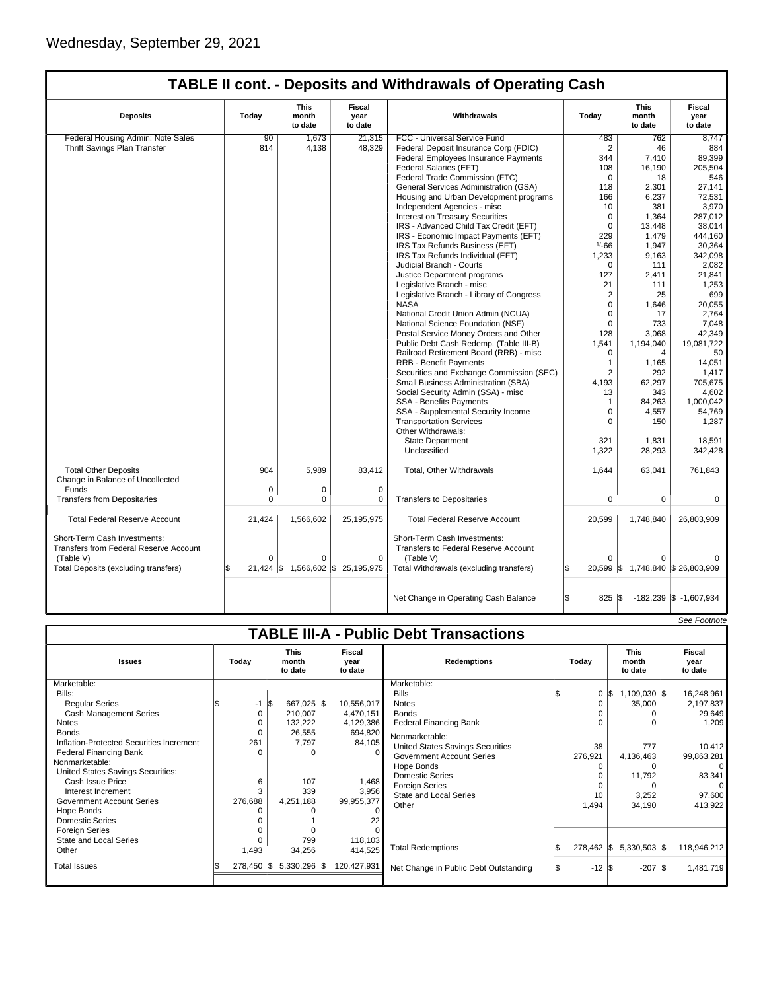| <b>Deposits</b>                                                               | Today       | This<br>month<br>to date | Fiscal<br>year<br>to date                        | Withdrawals                                                                 | Today                   | This<br>month<br>to date          | <b>Fiscal</b><br>year<br>to date      |
|-------------------------------------------------------------------------------|-------------|--------------------------|--------------------------------------------------|-----------------------------------------------------------------------------|-------------------------|-----------------------------------|---------------------------------------|
| Federal Housing Admin: Note Sales                                             | 90          | 1,673                    | 21,315                                           | FCC - Universal Service Fund                                                | 483                     | 762                               | 8,747                                 |
| Thrift Savings Plan Transfer                                                  | 814         | 4,138                    | 48,329                                           | Federal Deposit Insurance Corp (FDIC)                                       | $\overline{2}$          | 46                                | 884                                   |
|                                                                               |             |                          |                                                  | Federal Employees Insurance Payments                                        | 344                     | 7,410                             | 89,399                                |
|                                                                               |             |                          |                                                  | Federal Salaries (EFT)                                                      | 108                     | 16,190                            | 205,504                               |
|                                                                               |             |                          |                                                  | Federal Trade Commission (FTC)                                              | $\Omega$                | 18                                | 546                                   |
|                                                                               |             |                          |                                                  | General Services Administration (GSA)                                       | 118                     | 2,301                             | 27,141                                |
|                                                                               |             |                          |                                                  | Housing and Urban Development programs                                      | 166                     | 6,237                             | 72,531                                |
|                                                                               |             |                          |                                                  | Independent Agencies - misc                                                 | 10                      | 381                               | 3,970                                 |
|                                                                               |             |                          |                                                  | <b>Interest on Treasury Securities</b>                                      | $\mathbf 0$             | 1.364                             | 287.012                               |
|                                                                               |             |                          |                                                  | IRS - Advanced Child Tax Credit (EFT)                                       | $\mathbf 0$             | 13,448                            | 38.014                                |
|                                                                               |             |                          |                                                  | IRS - Economic Impact Payments (EFT)                                        | 229                     | 1,479                             | 444,160                               |
|                                                                               |             |                          |                                                  | IRS Tax Refunds Business (EFT)                                              | $1/ - 66$               | 1,947                             | 30,364                                |
|                                                                               |             |                          |                                                  | IRS Tax Refunds Individual (EFT)                                            | 1,233                   | 9,163                             | 342,098                               |
|                                                                               |             |                          |                                                  | Judicial Branch - Courts                                                    | $\Omega$                | 111                               | 2,082                                 |
|                                                                               |             |                          |                                                  | Justice Department programs                                                 | 127                     | 2,411                             | 21,841                                |
|                                                                               |             |                          |                                                  | Legislative Branch - misc                                                   | 21                      | 111                               | 1,253                                 |
|                                                                               |             |                          |                                                  | Legislative Branch - Library of Congress                                    | $\overline{2}$          | 25                                | 699                                   |
|                                                                               |             |                          |                                                  | <b>NASA</b>                                                                 | $\Omega$                | 1.646                             | 20,055                                |
|                                                                               |             |                          |                                                  | National Credit Union Admin (NCUA)                                          | $\Omega$                | 17                                | 2.764                                 |
|                                                                               |             |                          |                                                  | National Science Foundation (NSF)                                           | $\Omega$                | 733                               | 7,048                                 |
|                                                                               |             |                          |                                                  | Postal Service Money Orders and Other                                       | 128                     | 3.068                             | 42.349                                |
|                                                                               |             |                          |                                                  | Public Debt Cash Redemp. (Table III-B)                                      | 1,541                   | 1,194,040                         | 19,081,722                            |
|                                                                               |             |                          |                                                  | Railroad Retirement Board (RRB) - misc                                      | $\mathbf 0$             | 4                                 | 50                                    |
|                                                                               |             |                          |                                                  | <b>RRB - Benefit Payments</b>                                               | $\mathbf{1}$            | 1,165                             | 14,051                                |
|                                                                               |             |                          |                                                  | Securities and Exchange Commission (SEC)                                    | $\overline{2}$          | 292                               | 1,417                                 |
|                                                                               |             |                          |                                                  | Small Business Administration (SBA)                                         | 4,193                   | 62,297                            | 705,675                               |
|                                                                               |             |                          |                                                  | Social Security Admin (SSA) - misc                                          | 13                      | 343                               | 4,602                                 |
|                                                                               |             |                          |                                                  | <b>SSA - Benefits Payments</b>                                              | $\mathbf{1}$            | 84,263                            | 1,000,042                             |
|                                                                               |             |                          |                                                  | SSA - Supplemental Security Income                                          | $\Omega$                | 4,557                             | 54,769                                |
|                                                                               |             |                          |                                                  | <b>Transportation Services</b>                                              | $\Omega$                | 150                               | 1,287                                 |
|                                                                               |             |                          |                                                  | Other Withdrawals:                                                          |                         |                                   |                                       |
|                                                                               |             |                          |                                                  | <b>State Department</b>                                                     | 321                     | 1,831                             | 18,591                                |
|                                                                               |             |                          |                                                  | Unclassified                                                                | 1,322                   | 28.293                            | 342.428                               |
| <b>Total Other Deposits</b>                                                   | 904         | 5,989                    | 83,412                                           | Total, Other Withdrawals                                                    | 1,644                   | 63,041                            | 761,843                               |
| Change in Balance of Uncollected                                              |             |                          |                                                  |                                                                             |                         |                                   |                                       |
| Funds                                                                         | 0           | 0                        | $\mathbf 0$                                      |                                                                             |                         |                                   |                                       |
| <b>Transfers from Depositaries</b>                                            | $\mathbf 0$ | 0                        | $\Omega$                                         | <b>Transfers to Depositaries</b>                                            | $\mathbf 0$             | 0                                 | 0                                     |
| <b>Total Federal Reserve Account</b>                                          | 21,424      | 1,566,602                | 25,195,975                                       | <b>Total Federal Reserve Account</b>                                        | 20,599                  | 1,748,840                         | 26,803,909                            |
| Short-Term Cash Investments:<br><b>Transfers from Federal Reserve Account</b> |             |                          |                                                  | Short-Term Cash Investments:<br><b>Transfers to Federal Reserve Account</b> |                         |                                   |                                       |
| (Table V)                                                                     | $\Omega$    | 0                        | 0                                                | (Table V)                                                                   | $\Omega$                | 0                                 |                                       |
| Total Deposits (excluding transfers)                                          | 21.424      |                          | $\frac{1}{3}$ 1,566,602 $\frac{1}{3}$ 25,195,975 | Total Withdrawals (excluding transfers)                                     |                         | 20,599 \$ 1,748,840 \$ 26,803,909 |                                       |
|                                                                               |             |                          |                                                  | Net Change in Operating Cash Balance                                        | ß.<br>$825$ $\sqrt{\$}$ |                                   | $-182,239$ $\frac{1}{9}$ $-1,607,934$ |

|                                          |            |     |                                 |                           |                                               |                  |                                 | See Footnote              |
|------------------------------------------|------------|-----|---------------------------------|---------------------------|-----------------------------------------------|------------------|---------------------------------|---------------------------|
|                                          |            |     |                                 |                           | <b>TABLE III-A - Public Debt Transactions</b> |                  |                                 |                           |
| <b>Issues</b>                            | Today      |     | <b>This</b><br>month<br>to date | Fiscal<br>year<br>to date | <b>Redemptions</b>                            | Today            | <b>This</b><br>month<br>to date | Fiscal<br>year<br>to date |
| Marketable:<br>Bills:                    |            |     |                                 |                           | Marketable:<br><b>Bills</b>                   | 0                | \$<br>$1,109,030$ \$            | 16,248,961                |
| <b>Regular Series</b>                    | $-1$       | \$. | 667,025 \$                      | 10,556,017                | <b>Notes</b>                                  |                  | 35,000                          | 2,197,837                 |
| Cash Management Series                   | 0          |     | 210,007                         | 4,470,151                 | <b>Bonds</b>                                  |                  |                                 | 29,649                    |
| Notes                                    |            |     | 132,222                         | 4,129,386                 | <b>Federal Financing Bank</b>                 |                  | <sup>n</sup>                    | 1,209                     |
| <b>Bonds</b>                             |            |     | 26,555                          | 694,820                   | Nonmarketable:                                |                  |                                 |                           |
| Inflation-Protected Securities Increment | 261        |     | 7,797                           | 84,105                    | <b>United States Savings Securities</b>       | 38               | 777                             | 10,412                    |
| Federal Financing Bank                   |            |     | 0                               |                           | <b>Government Account Series</b>              | 276,921          | 4,136,463                       | 99,863,281                |
| Nonmarketable:                           |            |     |                                 |                           | Hope Bonds                                    |                  | 0                               | 0                         |
| United States Savings Securities:        |            |     |                                 |                           | Domestic Series                               |                  | 11,792                          | 83,341                    |
| Cash Issue Price                         | 6          |     | 107                             | 1,468                     | <b>Foreign Series</b>                         |                  |                                 | $\Omega$                  |
| Interest Increment                       |            |     | 339                             | 3,956                     | <b>State and Local Series</b>                 | 10               | 3,252                           | 97,600                    |
| Government Account Series                | 276,688    |     | 4,251,188                       | 99,955,377                | Other                                         | 1,494            | 34,190                          | 413,922                   |
| Hope Bonds<br>Domestic Series            |            |     |                                 |                           |                                               |                  |                                 |                           |
| Foreign Series                           |            |     |                                 |                           |                                               |                  |                                 |                           |
| State and Local Series                   |            |     | 799                             | 118,103                   |                                               |                  |                                 |                           |
| Other                                    | 1,493      |     | 34,256                          | 414,525                   | <b>Total Redemptions</b>                      | 278,462 \$       | $5,330,503$ \$                  | 118,946,212               |
| <b>Total Issues</b>                      | 278,450 \$ |     | 5,330,296 \$                    | 120,427,931               | Net Change in Public Debt Outstanding         | $-12$ $\sqrt{5}$ | $-207$ \$                       | 1,481,719                 |
|                                          |            |     |                                 |                           |                                               |                  |                                 |                           |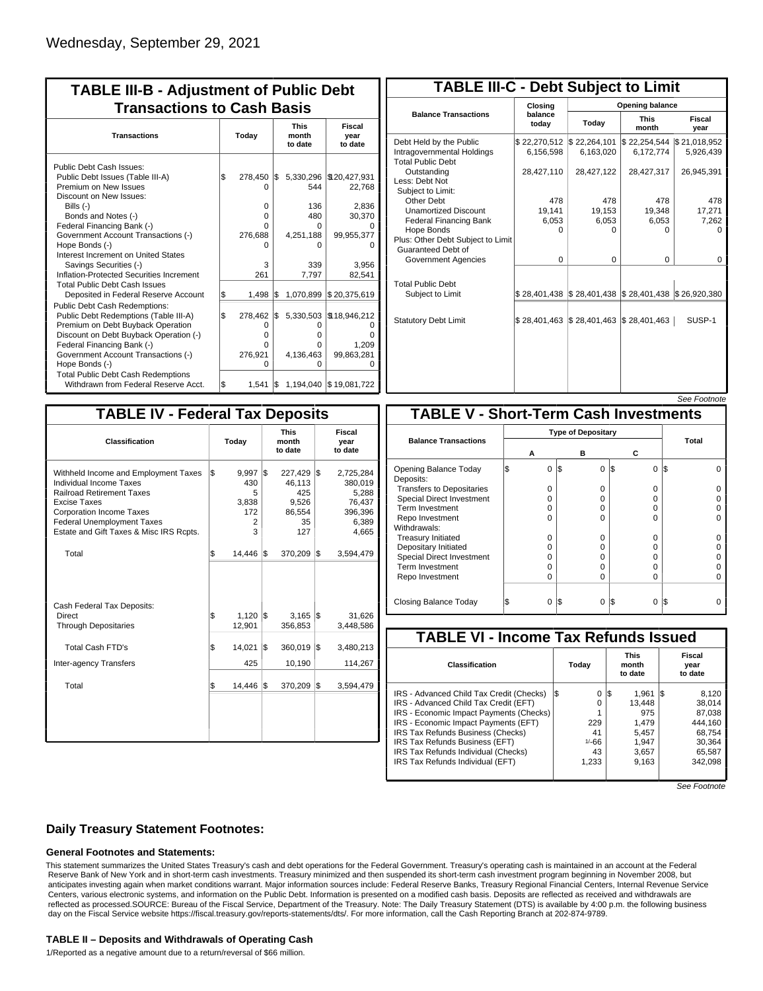| <b>TABLE III-B - Adjustment of Public Debt</b><br><b>Transactions to Cash Basis</b> |     |          |     |           |                        |                                 |                           |  |  |  |
|-------------------------------------------------------------------------------------|-----|----------|-----|-----------|------------------------|---------------------------------|---------------------------|--|--|--|
| <b>Transactions</b>                                                                 |     | Today    |     |           |                        | <b>This</b><br>month<br>to date | Fiscal<br>year<br>to date |  |  |  |
| Public Debt Cash Issues:<br>Public Debt Issues (Table III-A)                        | 1\$ | 278,450  | I\$ | 5,330,296 | \$120,427,931          |                                 |                           |  |  |  |
| Premium on New Issues<br>Discount on New Issues:                                    |     | n        |     | 544       | 22,768                 |                                 |                           |  |  |  |
| Bills (-)                                                                           |     | $\Omega$ |     | 136       | 2,836                  |                                 |                           |  |  |  |
| Bonds and Notes (-)                                                                 |     | 0        |     | 480       | 30,370                 |                                 |                           |  |  |  |
| Federal Financing Bank (-)                                                          |     | O        |     | 0         |                        |                                 |                           |  |  |  |
| Government Account Transactions (-)                                                 |     | 276,688  |     | 4,251,188 | 99,955,377             |                                 |                           |  |  |  |
| Hope Bonds (-)                                                                      |     |          |     | ŋ         |                        |                                 |                           |  |  |  |
| Interest Increment on United States                                                 |     |          |     |           |                        |                                 |                           |  |  |  |
| Savings Securities (-)                                                              |     | 3        |     | 339       | 3,956                  |                                 |                           |  |  |  |
| Inflation-Protected Securities Increment                                            |     | 261      |     | 7,797     | 82,541                 |                                 |                           |  |  |  |
| <b>Total Public Debt Cash Issues</b><br>Deposited in Federal Reserve Account        | \$  | 1,498    | l\$ | 1,070,899 | \$20,375,619           |                                 |                           |  |  |  |
| Public Debt Cash Redemptions:                                                       |     |          |     |           |                        |                                 |                           |  |  |  |
| Public Debt Redemptions (Table III-A)                                               | l\$ | 278,462  | l\$ | 5,330,503 | \$18,946,212           |                                 |                           |  |  |  |
| Premium on Debt Buyback Operation                                                   |     | 0        |     | 0         |                        |                                 |                           |  |  |  |
| Discount on Debt Buyback Operation (-)                                              |     | 0        |     | 0         | n                      |                                 |                           |  |  |  |
| Federal Financing Bank (-)                                                          |     | O        |     | O         | 1,209                  |                                 |                           |  |  |  |
| Government Account Transactions (-)                                                 |     | 276,921  |     | 4,136,463 | 99,863,281             |                                 |                           |  |  |  |
| Hope Bonds (-)                                                                      |     | U        |     | U         | n                      |                                 |                           |  |  |  |
| <b>Total Public Debt Cash Redemptions</b>                                           |     |          |     |           |                        |                                 |                           |  |  |  |
| Withdrawn from Federal Reserve Acct.                                                | l\$ | 1.541    | IS. |           | 1,194,040 \$19,081,722 |                                 |                           |  |  |  |

|                                                                                   | <b>TABLE III-C - Debt Subject to Limit</b> |                                                           |                           |                           |  |  |  |  |  |  |  |
|-----------------------------------------------------------------------------------|--------------------------------------------|-----------------------------------------------------------|---------------------------|---------------------------|--|--|--|--|--|--|--|
|                                                                                   | Closing                                    |                                                           | Opening balance           |                           |  |  |  |  |  |  |  |
| <b>Balance Transactions</b>                                                       | balance<br>todav                           | Today                                                     | <b>This</b><br>month      | Fiscal<br>year            |  |  |  |  |  |  |  |
| Debt Held by the Public<br>Intragovernmental Holdings<br><b>Total Public Debt</b> | \$22,270,512<br>6,156,598                  | \$22,264,101<br>6,163,020                                 | \$22,254,544<br>6,172,774 | \$21,018,952<br>5,926,439 |  |  |  |  |  |  |  |
| Outstanding<br>Less: Debt Not<br>Subject to Limit:                                | 28,427,110                                 | 28,427,122                                                | 28,427,317                | 26,945,391                |  |  |  |  |  |  |  |
| Other Debt                                                                        | 478                                        | 478                                                       | 478                       | 478                       |  |  |  |  |  |  |  |
| <b>Unamortized Discount</b>                                                       | 19,141                                     | 19,153                                                    | 19,348                    | 17,271                    |  |  |  |  |  |  |  |
| <b>Federal Financing Bank</b>                                                     | 6,053                                      | 6,053                                                     | 6,053                     | 7,262                     |  |  |  |  |  |  |  |
| Hope Bonds                                                                        | 0                                          | O                                                         | 0                         | o                         |  |  |  |  |  |  |  |
| Plus: Other Debt Subject to Limit<br>Guaranteed Debt of                           |                                            |                                                           |                           |                           |  |  |  |  |  |  |  |
| Government Agencies                                                               | $\Omega$                                   | $\Omega$                                                  | $\Omega$                  | 0                         |  |  |  |  |  |  |  |
| <b>Total Public Debt</b><br>Subject to Limit                                      |                                            | \$28,401,438   \$28,401,438   \$28,401,438   \$26,920,380 |                           |                           |  |  |  |  |  |  |  |
|                                                                                   |                                            |                                                           |                           |                           |  |  |  |  |  |  |  |
| <b>Statutory Debt Limit</b>                                                       | $$28,401,463$ $$28,401,463$                |                                                           | \$28,401,463              | SUSP-1                    |  |  |  |  |  |  |  |
|                                                                                   |                                            |                                                           |                           |                           |  |  |  |  |  |  |  |

See Footnote

| <b>TABLE IV - Federal Tax Deposits</b>                                                                                                                                                                                                 |    |                                                          |     |                                                          |     |                                                                      |
|----------------------------------------------------------------------------------------------------------------------------------------------------------------------------------------------------------------------------------------|----|----------------------------------------------------------|-----|----------------------------------------------------------|-----|----------------------------------------------------------------------|
| Classification                                                                                                                                                                                                                         |    | Today                                                    |     | <b>This</b><br>month<br>to date                          |     | Fiscal<br>year<br>to date                                            |
| Withheld Income and Employment Taxes<br>Individual Income Taxes<br><b>Railroad Retirement Taxes</b><br>Excise Taxes<br><b>Corporation Income Taxes</b><br><b>Federal Unemployment Taxes</b><br>Estate and Gift Taxes & Misc IRS Rcpts. | \$ | 9,997<br>430<br>5<br>3,838<br>172<br>$\overline{2}$<br>3 | l\$ | 227,429<br>46,113<br>425<br>9,526<br>86,554<br>35<br>127 | l\$ | 2,725,284<br>380,019<br>5,288<br>76,437<br>396,396<br>6,389<br>4,665 |
| Total                                                                                                                                                                                                                                  | \$ | 14,446                                                   | 1\$ | 370,209                                                  | 1\$ | 3,594,479                                                            |
| Cash Federal Tax Deposits:<br>Direct<br><b>Through Depositaries</b>                                                                                                                                                                    | \$ | $1,120$ \$<br>12,901                                     |     | 3,165<br>356,853                                         | 1\$ | 31,626<br>3,448,586                                                  |
| <b>Total Cash FTD's</b>                                                                                                                                                                                                                | \$ | 14,021                                                   | l\$ | 360,019                                                  | 1\$ | 3,480,213                                                            |
| <b>Inter-agency Transfers</b>                                                                                                                                                                                                          |    | 425                                                      |     | 10,190                                                   |     | 114,267                                                              |
| Total                                                                                                                                                                                                                                  | \$ | 14,446                                                   | 1\$ | 370,209                                                  | 1\$ | 3,594,479                                                            |
|                                                                                                                                                                                                                                        |    |                                                          |     |                                                          |     |                                                                      |

|                                              |   |   |                           |                 | <i><b>See Footnote</b></i> |  |  |  |  |
|----------------------------------------------|---|---|---------------------------|-----------------|----------------------------|--|--|--|--|
| <b>TABLE V - Short-Term Cash Investments</b> |   |   |                           |                 |                            |  |  |  |  |
|                                              |   |   | <b>Type of Depositary</b> |                 |                            |  |  |  |  |
| <b>Balance Transactions</b>                  |   |   |                           |                 | Total                      |  |  |  |  |
|                                              | А |   | в                         | С               |                            |  |  |  |  |
| Opening Balance Today<br>Deposits:           |   | 0 | 1\$<br>$\Omega$           | 1\$<br>$\Omega$ | I\$<br>Ω                   |  |  |  |  |
| <b>Transfers to Depositaries</b>             |   | O | 0                         | 0               |                            |  |  |  |  |
| <b>Special Direct Investment</b>             |   | O | O                         | 0               |                            |  |  |  |  |
| Term Investment                              |   | 0 | O                         | 0               |                            |  |  |  |  |
| Repo Investment                              |   | O | O                         | 0               |                            |  |  |  |  |
| Withdrawals:                                 |   |   |                           |                 |                            |  |  |  |  |
| <b>Treasury Initiated</b>                    |   | O | 0                         | $\Omega$        |                            |  |  |  |  |
| Depositary Initiated                         |   | O | O                         | 0               |                            |  |  |  |  |
| <b>Special Direct Investment</b>             |   | Ω | O                         | 0               |                            |  |  |  |  |
| <b>Term Investment</b>                       |   | Ω | Ω                         | O               |                            |  |  |  |  |
| Repo Investment                              |   | 0 | 0                         | 0               |                            |  |  |  |  |
|                                              |   |   |                           |                 |                            |  |  |  |  |
| Closing Balance Today                        |   | 0 | I\$<br>0                  | S<br>0          | I\$                        |  |  |  |  |

| <b>TABLE VI - Income Tax Refunds Issued</b> |     |         |     |                                 |     |                           |  |  |  |  |
|---------------------------------------------|-----|---------|-----|---------------------------------|-----|---------------------------|--|--|--|--|
| <b>Classification</b>                       |     | Todav   |     | <b>This</b><br>month<br>to date |     | Fiscal<br>year<br>to date |  |  |  |  |
| IRS - Advanced Child Tax Credit (Checks)    | I\$ | 0       | 1\$ | 1.961                           | IS. | 8.120                     |  |  |  |  |
| IRS - Advanced Child Tax Credit (EFT)       |     | 0       |     | 13.448                          |     | 38.014                    |  |  |  |  |
| IRS - Economic Impact Payments (Checks)     |     | 4       |     | 975                             |     | 87.038                    |  |  |  |  |
| IRS - Economic Impact Payments (EFT)        |     | 229     |     | 1.479                           |     | 444.160                   |  |  |  |  |
| IRS Tax Refunds Business (Checks)           |     | 41      |     | 5.457                           |     | 68.754                    |  |  |  |  |
| IRS Tax Refunds Business (EFT)              |     | $1/-66$ |     | 1.947                           |     | 30.364                    |  |  |  |  |
| IRS Tax Refunds Individual (Checks)         |     | 43      |     | 3,657                           |     | 65,587                    |  |  |  |  |
| IRS Tax Refunds Individual (EFT)            |     | 1,233   |     | 9,163                           |     | 342.098                   |  |  |  |  |
|                                             |     |         |     |                                 |     |                           |  |  |  |  |

See Footnote

## **Daily Treasury Statement Footnotes:**

## **General Footnotes and Statements:**

This statement summarizes the United States Treasury's cash and debt operations for the Federal Government. Treasury's operating cash is maintained in an account at the Federal Reserve Bank of New York and in short-term cash investments. Treasury minimized and then suspended its short-term cash investment program beginning in November 2008, but anticipates investing again when market conditions warrant. Major information sources include: Federal Reserve Banks, Treasury Regional Financial Centers, Internal Revenue Service Centers, various electronic systems, and information on the Public Debt. Information is presented on a modified cash basis. Deposits are reflected as received and withdrawals are reflected as processed.SOURCE: Bureau of the Fiscal Service, Department of the Treasury. Note: The Daily Treasury Statement (DTS) is available by 4:00 p.m. the following business day on the Fiscal Service website https://fiscal.treasury.gov/reports-statements/dts/. For more information, call the Cash Reporting Branch at 202-874-9789.

#### **TABLE II – Deposits and Withdrawals of Operating Cash**

1/Reported as a negative amount due to a return/reversal of \$66 million.